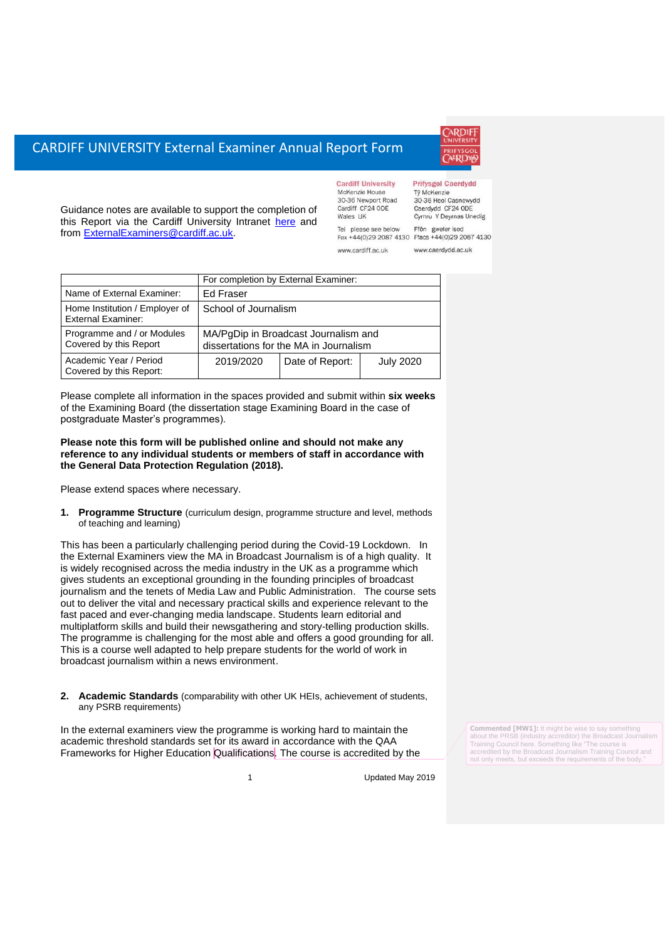# CARDIFF UNIVERSITY External Examiner Annual Report Form

Guidance notes are available to support the completion of this Report via the Cardiff University Intranet [here](https://intranet.cardiff.ac.uk/staff/teaching-and-supporting-students/exams-and-assessment/exam-boards-and-external-examiners/for-current-external-examiners/external-examiners-reports) and from [ExternalExaminers@cardiff.ac.uk.](mailto:ExternalExaminers@cardiff.ac.uk)

|     | <b>Cardiff University</b> | <b>Prifysgol Caerdydd</b> |
|-----|---------------------------|---------------------------|
|     | McKenzie House            | Tỷ McKenzie               |
|     | 30-36 Newport Road        | 30-36 Heol Casnewydd      |
|     | Cardiff CF24 ODE          | Caerdydd CF24 ODE         |
|     | Wales UK                  | Cymru Y Deyrnas Unedig    |
| Tel | please see below          | gweler isod<br>Ffôn       |
|     | Fax +44(0)29 2087 4130    | Ffacs +44(0)29 2087 4130  |
|     | www.cardiff.ac.uk         | www.caerdvdd.ac.uk        |

|                                                             | For completion by External Examiner:                                           |                 |                  |  |
|-------------------------------------------------------------|--------------------------------------------------------------------------------|-----------------|------------------|--|
| Name of External Examiner:                                  | Ed Fraser                                                                      |                 |                  |  |
| Home Institution / Employer of<br><b>External Examiner:</b> | School of Journalism                                                           |                 |                  |  |
| Programme and / or Modules<br>Covered by this Report        | MA/PgDip in Broadcast Journalism and<br>dissertations for the MA in Journalism |                 |                  |  |
| Academic Year / Period<br>Covered by this Report:           | 2019/2020                                                                      | Date of Report: | <b>July 2020</b> |  |

Please complete all information in the spaces provided and submit within **six weeks** of the Examining Board (the dissertation stage Examining Board in the case of postgraduate Master's programmes).

### **Please note this form will be published online and should not make any reference to any individual students or members of staff in accordance with the General Data Protection Regulation (2018).**

Please extend spaces where necessary.

**1. Programme Structure** (curriculum design, programme structure and level, methods of teaching and learning)

This has been a particularly challenging period during the Covid-19 Lockdown. In the External Examiners view the MA in Broadcast Journalism is of a high quality. It is widely recognised across the media industry in the UK as a programme which gives students an exceptional grounding in the founding principles of broadcast journalism and the tenets of Media Law and Public Administration. The course sets out to deliver the vital and necessary practical skills and experience relevant to the fast paced and ever-changing media landscape. Students learn editorial and multiplatform skills and build their newsgathering and story-telling production skills. The programme is challenging for the most able and offers a good grounding for all. This is a course well adapted to help prepare students for the world of work in broadcast journalism within a news environment.

### **2. Academic Standards** (comparability with other UK HEIs, achievement of students, any PSRB requirements)

In the external examiners view the programme is working hard to maintain the academic threshold standards set for its award in accordance with the QAA Frameworks for Higher Education Qualifications. The course is accredited by the **Commented [MW1]:** It might be wise to say something about the PRSB (industry accreditor) the Broadcast Journalism Training Council here. Something like "The course is accredited by the Broadcast Journalism Training Council and not only meets, but exceeds the requirements of the body

1 Updated May 2019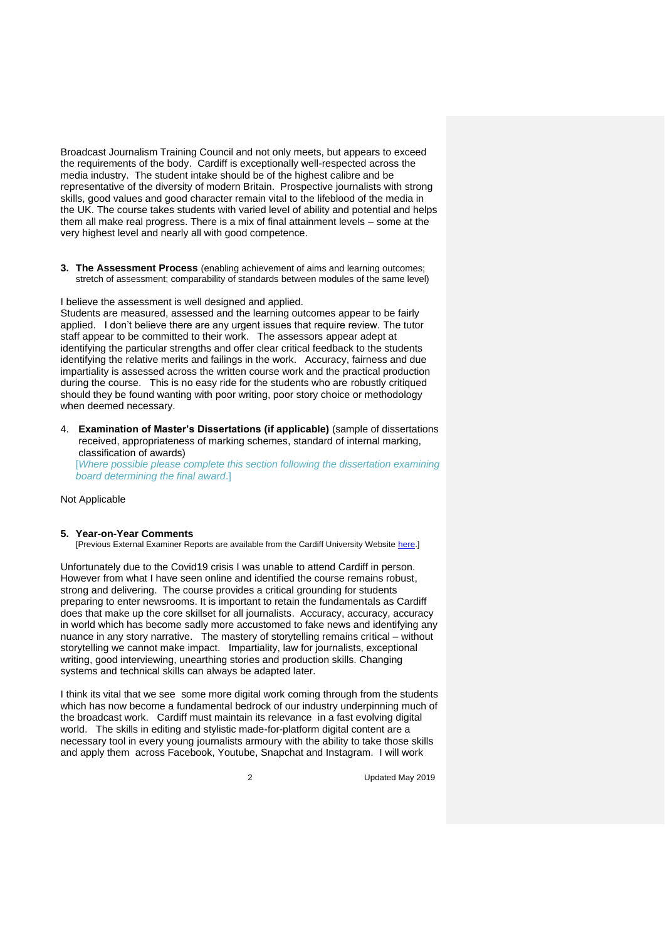Broadcast Journalism Training Council and not only meets, but appears to exceed the requirements of the body. Cardiff is exceptionally well-respected across the media industry. The student intake should be of the highest calibre and be representative of the diversity of modern Britain. Prospective journalists with strong skills, good values and good character remain vital to the lifeblood of the media in the UK. The course takes students with varied level of ability and potential and helps them all make real progress. There is a mix of final attainment levels – some at the very highest level and nearly all with good competence.

**3. The Assessment Process** (enabling achievement of aims and learning outcomes; stretch of assessment; comparability of standards between modules of the same level)

I believe the assessment is well designed and applied.

Students are measured, assessed and the learning outcomes appear to be fairly applied. I don't believe there are any urgent issues that require review. The tutor staff appear to be committed to their work. The assessors appear adept at identifying the particular strengths and offer clear critical feedback to the students identifying the relative merits and failings in the work. Accuracy, fairness and due impartiality is assessed across the written course work and the practical production during the course. This is no easy ride for the students who are robustly critiqued should they be found wanting with poor writing, poor story choice or methodology when deemed necessary.

4. **Examination of Master's Dissertations (if applicable)** (sample of dissertations received, appropriateness of marking schemes, standard of internal marking, classification of awards) [*Where possible please complete this section following the dissertation examining* 

*board determining the final award*.]

Not Applicable

#### **5. Year-on-Year Comments**

[Previous External Examiner Reports are available from the Cardiff University Website [here.\]](https://www.cardiff.ac.uk/public-information/quality-and-standards/external-examiner-reports)

Unfortunately due to the Covid19 crisis I was unable to attend Cardiff in person. However from what I have seen online and identified the course remains robust, strong and delivering. The course provides a critical grounding for students preparing to enter newsrooms. It is important to retain the fundamentals as Cardiff does that make up the core skillset for all journalists. Accuracy, accuracy, accuracy in world which has become sadly more accustomed to fake news and identifying any nuance in any story narrative. The mastery of storytelling remains critical – without storytelling we cannot make impact. Impartiality, law for journalists, exceptional writing, good interviewing, unearthing stories and production skills. Changing systems and technical skills can always be adapted later.

I think its vital that we see some more digital work coming through from the students which has now become a fundamental bedrock of our industry underpinning much of the broadcast work. Cardiff must maintain its relevance in a fast evolving digital world. The skills in editing and stylistic made-for-platform digital content are a necessary tool in every young journalists armoury with the ability to take those skills and apply them across Facebook, Youtube, Snapchat and Instagram. I will work

2 Updated May 2019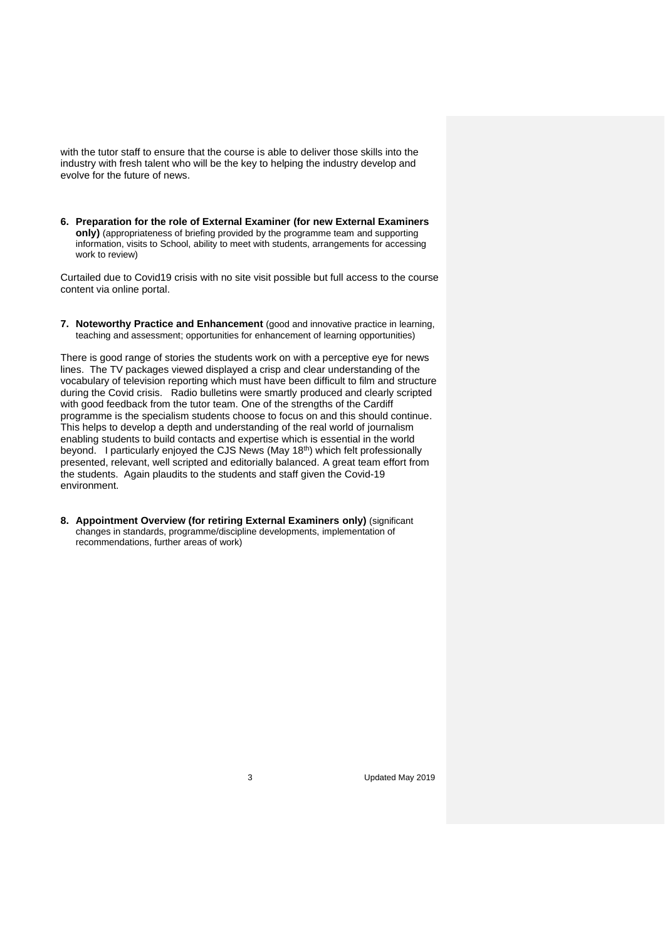with the tutor staff to ensure that the course is able to deliver those skills into the industry with fresh talent who will be the key to helping the industry develop and evolve for the future of news.

**6. Preparation for the role of External Examiner (for new External Examiners only)** (appropriateness of briefing provided by the programme team and supporting information, visits to School, ability to meet with students, arrangements for accessing work to review)

Curtailed due to Covid19 crisis with no site visit possible but full access to the course content via online portal.

**7. Noteworthy Practice and Enhancement** (good and innovative practice in learning, teaching and assessment; opportunities for enhancement of learning opportunities)

There is good range of stories the students work on with a perceptive eye for news lines. The TV packages viewed displayed a crisp and clear understanding of the vocabulary of television reporting which must have been difficult to film and structure during the Covid crisis. Radio bulletins were smartly produced and clearly scripted with good feedback from the tutor team. One of the strengths of the Cardiff programme is the specialism students choose to focus on and this should continue. This helps to develop a depth and understanding of the real world of journalism enabling students to build contacts and expertise which is essential in the world beyond. I particularly enjoyed the CJS News (May 18th) which felt professionally presented, relevant, well scripted and editorially balanced. A great team effort from the students. Again plaudits to the students and staff given the Covid-19 environment.

**8. Appointment Overview (for retiring External Examiners only)** (significant changes in standards, programme/discipline developments, implementation of recommendations, further areas of work)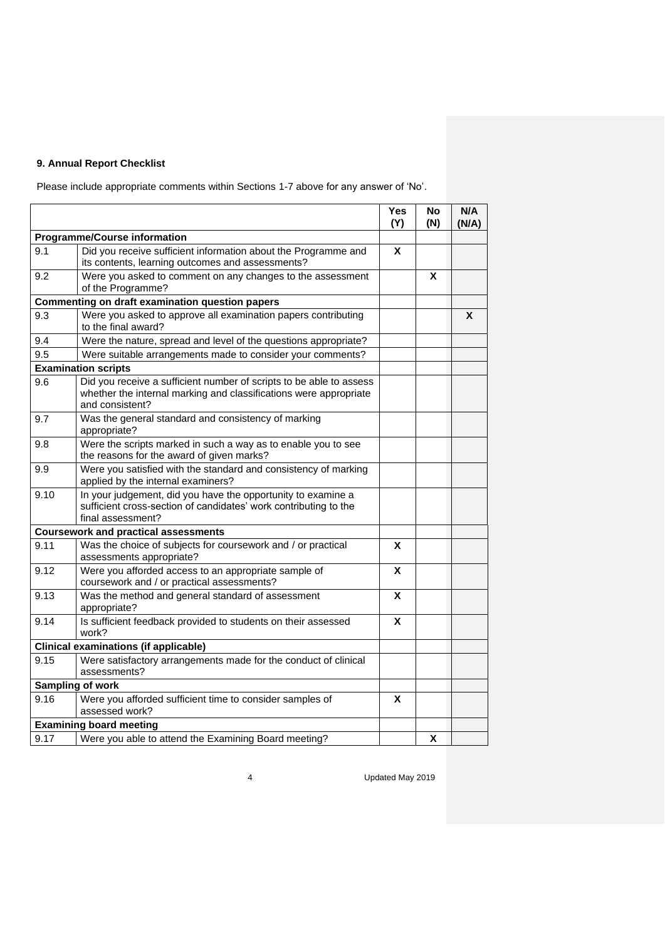## **9. Annual Report Checklist**

Please include appropriate comments within Sections 1-7 above for any answer of 'No'.

|                                     |                                                                                                                                                             | Yes<br>(Y) | No<br>(N) | N/A<br>(N/A) |
|-------------------------------------|-------------------------------------------------------------------------------------------------------------------------------------------------------------|------------|-----------|--------------|
| <b>Programme/Course information</b> |                                                                                                                                                             |            |           |              |
| 9.1                                 | Did you receive sufficient information about the Programme and<br>its contents, learning outcomes and assessments?                                          | X          |           |              |
| 9.2                                 | Were you asked to comment on any changes to the assessment<br>of the Programme?                                                                             |            | X         |              |
|                                     | <b>Commenting on draft examination question papers</b>                                                                                                      |            |           |              |
| 9.3                                 | Were you asked to approve all examination papers contributing<br>to the final award?                                                                        |            |           | X            |
| 9.4                                 | Were the nature, spread and level of the questions appropriate?                                                                                             |            |           |              |
| 9.5                                 | Were suitable arrangements made to consider your comments?                                                                                                  |            |           |              |
|                                     | <b>Examination scripts</b>                                                                                                                                  |            |           |              |
| 9.6                                 | Did you receive a sufficient number of scripts to be able to assess<br>whether the internal marking and classifications were appropriate<br>and consistent? |            |           |              |
| 9.7                                 | Was the general standard and consistency of marking<br>appropriate?                                                                                         |            |           |              |
| 9.8                                 | Were the scripts marked in such a way as to enable you to see<br>the reasons for the award of given marks?                                                  |            |           |              |
| 9.9                                 | Were you satisfied with the standard and consistency of marking<br>applied by the internal examiners?                                                       |            |           |              |
| 9.10                                | In your judgement, did you have the opportunity to examine a<br>sufficient cross-section of candidates' work contributing to the<br>final assessment?       |            |           |              |
|                                     | <b>Coursework and practical assessments</b>                                                                                                                 |            |           |              |
| 9.11                                | Was the choice of subjects for coursework and / or practical<br>assessments appropriate?                                                                    | X          |           |              |
| 9.12                                | Were you afforded access to an appropriate sample of<br>coursework and / or practical assessments?                                                          | X          |           |              |
| 9.13                                | Was the method and general standard of assessment<br>appropriate?                                                                                           | X          |           |              |
| 9.14                                | Is sufficient feedback provided to students on their assessed<br>work?                                                                                      | X          |           |              |
|                                     | <b>Clinical examinations (if applicable)</b>                                                                                                                |            |           |              |
| 9.15                                | Were satisfactory arrangements made for the conduct of clinical<br>assessments?                                                                             |            |           |              |
|                                     | Sampling of work                                                                                                                                            |            |           |              |
| 9.16                                | Were you afforded sufficient time to consider samples of<br>assessed work?                                                                                  | X          |           |              |
|                                     | <b>Examining board meeting</b>                                                                                                                              |            |           |              |
| 9.17                                | Were you able to attend the Examining Board meeting?                                                                                                        |            | X         |              |

4 Updated May 2019